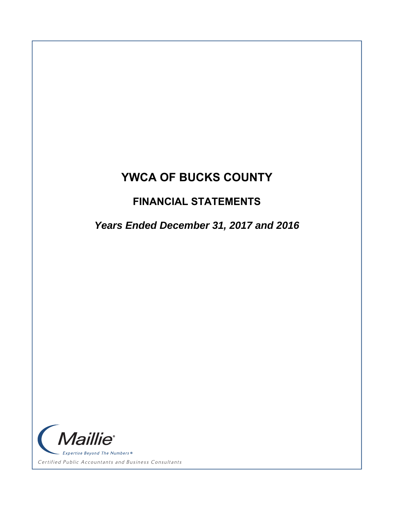# **FINANCIAL STATEMENTS**

*Years Ended December 31, 2017 and 2016* 



Certified Public Accountants and Business Consultants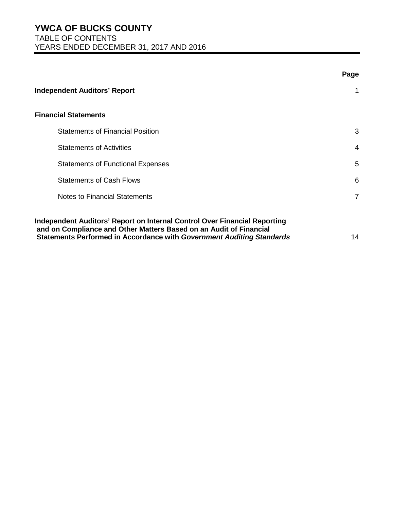| <b>Statements of Financial Position</b><br>3<br><b>Statements of Activities</b><br>4<br>5<br><b>Statements of Functional Expenses</b><br><b>Statements of Cash Flows</b><br>6<br><b>Notes to Financial Statements</b><br>$\overline{7}$<br>and on Compliance and Other Matters Based on an Audit of Financial<br>14 |                                                                                                                                                           | Page |  |
|---------------------------------------------------------------------------------------------------------------------------------------------------------------------------------------------------------------------------------------------------------------------------------------------------------------------|-----------------------------------------------------------------------------------------------------------------------------------------------------------|------|--|
|                                                                                                                                                                                                                                                                                                                     | <b>Independent Auditors' Report</b>                                                                                                                       |      |  |
|                                                                                                                                                                                                                                                                                                                     | <b>Financial Statements</b>                                                                                                                               |      |  |
|                                                                                                                                                                                                                                                                                                                     |                                                                                                                                                           |      |  |
|                                                                                                                                                                                                                                                                                                                     |                                                                                                                                                           |      |  |
|                                                                                                                                                                                                                                                                                                                     |                                                                                                                                                           |      |  |
|                                                                                                                                                                                                                                                                                                                     |                                                                                                                                                           |      |  |
|                                                                                                                                                                                                                                                                                                                     |                                                                                                                                                           |      |  |
|                                                                                                                                                                                                                                                                                                                     | Independent Auditors' Report on Internal Control Over Financial Reporting<br><b>Statements Performed in Accordance with Government Auditing Standards</b> |      |  |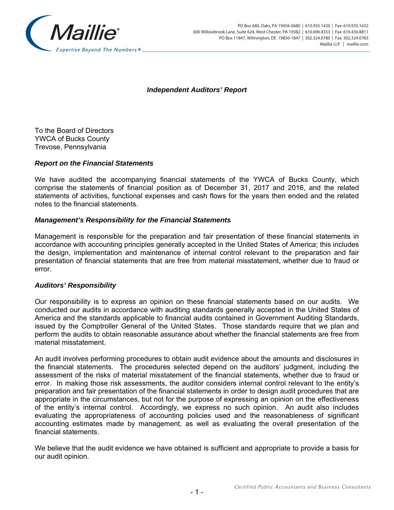

*Independent Auditors' Report* 

To the Board of Directors YWCA of Bucks County Trevose, Pennsylvania

#### *Report on the Financial Statements*

We have audited the accompanying financial statements of the YWCA of Bucks County, which comprise the statements of financial position as of December 31, 2017 and 2016, and the related statements of activities, functional expenses and cash flows for the years then ended and the related notes to the financial statements.

#### *Management's Responsibility for the Financial Statements*

Management is responsible for the preparation and fair presentation of these financial statements in accordance with accounting principles generally accepted in the United States of America; this includes the design, implementation and maintenance of internal control relevant to the preparation and fair presentation of financial statements that are free from material misstatement, whether due to fraud or error.

#### *Auditors' Responsibility*

Our responsibility is to express an opinion on these financial statements based on our audits. We conducted our audits in accordance with auditing standards generally accepted in the United States of America and the standards applicable to financial audits contained in Government Auditing Standards, issued by the Comptroller General of the United States. Those standards require that we plan and perform the audits to obtain reasonable assurance about whether the financial statements are free from material misstatement.

An audit involves performing procedures to obtain audit evidence about the amounts and disclosures in the financial statements. The procedures selected depend on the auditors' judgment, including the assessment of the risks of material misstatement of the financial statements, whether due to fraud or error. In making those risk assessments, the auditor considers internal control relevant to the entity's preparation and fair presentation of the financial statements in order to design audit procedures that are appropriate in the circumstances, but not for the purpose of expressing an opinion on the effectiveness of the entity's internal control. Accordingly, we express no such opinion. An audit also includes evaluating the appropriateness of accounting policies used and the reasonableness of significant accounting estimates made by management, as well as evaluating the overall presentation of the financial statements.

We believe that the audit evidence we have obtained is sufficient and appropriate to provide a basis for our audit opinion.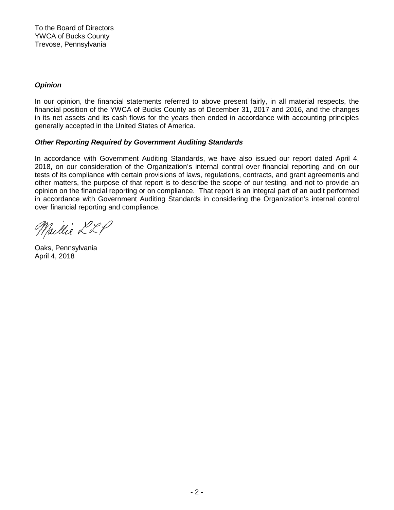#### *Opinion*

In our opinion, the financial statements referred to above present fairly, in all material respects, the financial position of the YWCA of Bucks County as of December 31, 2017 and 2016, and the changes in its net assets and its cash flows for the years then ended in accordance with accounting principles generally accepted in the United States of America.

#### *Other Reporting Required by Government Auditing Standards*

In accordance with Government Auditing Standards, we have also issued our report dated April 4, 2018, on our consideration of the Organization's internal control over financial reporting and on our tests of its compliance with certain provisions of laws, regulations, contracts, and grant agreements and other matters, the purpose of that report is to describe the scope of our testing, and not to provide an opinion on the financial reporting or on compliance. That report is an integral part of an audit performed in accordance with Government Auditing Standards in considering the Organization's internal control over financial reporting and compliance.

Maillie LLP

Oaks, Pennsylvania April 4, 2018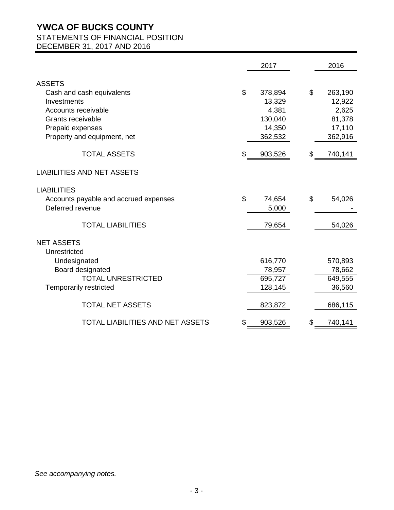### STATEMENTS OF FINANCIAL POSITION

DECEMBER 31, 2017 AND 2016

|                                         |                           | 2017    | 2016          |
|-----------------------------------------|---------------------------|---------|---------------|
| <b>ASSETS</b>                           |                           |         |               |
| Cash and cash equivalents               | \$                        | 378,894 | \$<br>263,190 |
| Investments                             |                           | 13,329  | 12,922        |
| Accounts receivable                     |                           | 4,381   | 2,625         |
| Grants receivable                       |                           | 130,040 | 81,378        |
| Prepaid expenses                        |                           | 14,350  | 17,110        |
| Property and equipment, net             |                           | 362,532 | 362,916       |
| <b>TOTAL ASSETS</b>                     | \$                        | 903,526 | \$<br>740,141 |
| <b>LIABILITIES AND NET ASSETS</b>       |                           |         |               |
| <b>LIABILITIES</b>                      |                           |         |               |
| Accounts payable and accrued expenses   | $\boldsymbol{\mathsf{S}}$ | 74,654  | \$<br>54,026  |
| Deferred revenue                        |                           | 5,000   |               |
| <b>TOTAL LIABILITIES</b>                |                           | 79,654  | 54,026        |
| <b>NET ASSETS</b>                       |                           |         |               |
| Unrestricted                            |                           |         |               |
| Undesignated                            |                           | 616,770 | 570,893       |
| Board designated                        |                           | 78,957  | 78,662        |
| <b>TOTAL UNRESTRICTED</b>               |                           | 695,727 | 649,555       |
| <b>Temporarily restricted</b>           |                           | 128,145 | 36,560        |
| <b>TOTAL NET ASSETS</b>                 |                           | 823,872 | 686,115       |
|                                         |                           |         |               |
| <b>TOTAL LIABILITIES AND NET ASSETS</b> | \$                        | 903,526 | \$<br>740,141 |

*See accompanying notes.*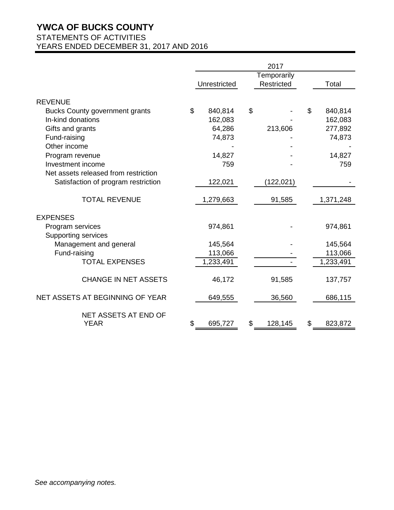### STATEMENTS OF ACTIVITIES YEARS ENDED DECEMBER 31, 2017 AND 2016

|                                            |               | 2017          |               |
|--------------------------------------------|---------------|---------------|---------------|
|                                            |               | Temporarily   |               |
|                                            | Unrestricted  | Restricted    | Total         |
| <b>REVENUE</b>                             |               |               |               |
| <b>Bucks County government grants</b>      | \$<br>840,814 | \$            | \$<br>840,814 |
| In-kind donations                          | 162,083       |               | 162,083       |
| Gifts and grants                           | 64,286        | 213,606       | 277,892       |
| Fund-raising                               | 74,873        |               | 74,873        |
| Other income                               |               |               |               |
| Program revenue                            | 14,827        |               | 14,827        |
| Investment income                          | 759           |               | 759           |
| Net assets released from restriction       |               |               |               |
| Satisfaction of program restriction        | 122,021       | (122, 021)    |               |
| <b>TOTAL REVENUE</b>                       | 1,279,663     | 91,585        | 1,371,248     |
| <b>EXPENSES</b>                            |               |               |               |
| Program services                           | 974,861       |               | 974,861       |
| <b>Supporting services</b>                 |               |               |               |
| Management and general                     | 145,564       |               | 145,564       |
| Fund-raising                               | 113,066       |               | 113,066       |
| <b>TOTAL EXPENSES</b>                      | 1,233,491     |               | 1,233,491     |
|                                            |               |               |               |
| <b>CHANGE IN NET ASSETS</b>                | 46,172        | 91,585        | 137,757       |
| NET ASSETS AT BEGINNING OF YEAR            | 649,555       | 36,560        | 686,115       |
|                                            |               |               |               |
| <b>NET ASSETS AT END OF</b><br><b>YEAR</b> | \$<br>695,727 | \$<br>128,145 | \$<br>823,872 |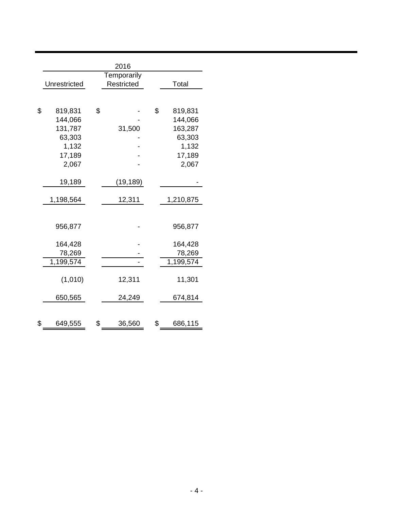|               | 2016         |               |
|---------------|--------------|---------------|
|               | Temporarily  |               |
| Unrestricted  | Restricted   | Total         |
|               |              |               |
| \$<br>819,831 | \$           | \$<br>819,831 |
| 144,066       |              | 144,066       |
| 131,787       | 31,500       | 163,287       |
| 63,303        |              | 63,303        |
| 1,132         |              | 1,132         |
| 17,189        |              | 17,189        |
| 2,067         |              | 2,067         |
| 19,189        | (19,189)     |               |
| 1,198,564     | 12,311       | 1,210,875     |
|               |              |               |
| 956,877       |              | 956,877       |
| 164,428       |              | 164,428       |
| 78,269        |              | 78,269        |
| 1,199,574     |              | 1,199,574     |
| (1,010)       | 12,311       | 11,301        |
| 650,565       | 24,249       | 674,814       |
|               |              |               |
| \$<br>649,555 | \$<br>36,560 | \$<br>686,115 |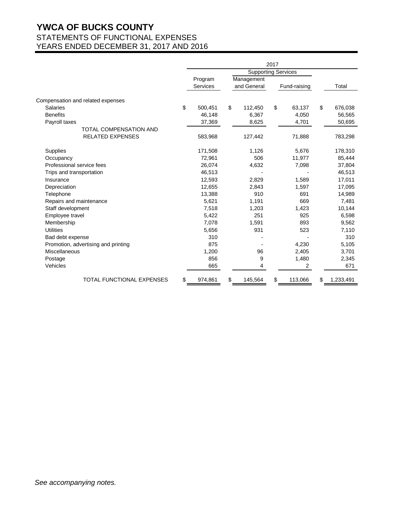### STATEMENTS OF FUNCTIONAL EXPENSES YEARS ENDED DECEMBER 31, 2017 AND 2016

|                                        | 2017                |                           |                |                 |  |  |  |  |
|----------------------------------------|---------------------|---------------------------|----------------|-----------------|--|--|--|--|
|                                        |                     |                           |                |                 |  |  |  |  |
|                                        | Program<br>Services | Management<br>and General | Fund-raising   | Total           |  |  |  |  |
| Compensation and related expenses      |                     |                           |                |                 |  |  |  |  |
| \$<br><b>Salaries</b>                  | 500,451             | \$<br>112,450             | \$<br>63,137   | \$<br>676,038   |  |  |  |  |
| <b>Benefits</b>                        | 46,148              | 6,367                     | 4,050          | 56,565          |  |  |  |  |
| Payroll taxes                          | 37,369              | 8,625                     | 4,701          | 50,695          |  |  |  |  |
| <b>TOTAL COMPENSATION AND</b>          |                     |                           |                |                 |  |  |  |  |
| <b>RELATED EXPENSES</b>                | 583,968             | 127,442                   | 71,888         | 783,298         |  |  |  |  |
| Supplies                               | 171,508             | 1,126                     | 5,676          | 178,310         |  |  |  |  |
| Occupancy                              | 72,961              | 506                       | 11,977         | 85,444          |  |  |  |  |
| Professional service fees              | 26,074              | 4,632                     | 7,098          | 37,804          |  |  |  |  |
| Trips and transportation               | 46,513              |                           |                | 46,513          |  |  |  |  |
| Insurance                              | 12,593              | 2,829                     | 1,589          | 17,011          |  |  |  |  |
| Depreciation                           | 12,655              | 2,843                     | 1,597          | 17,095          |  |  |  |  |
| Telephone                              | 13,388              | 910                       | 691            | 14,989          |  |  |  |  |
| Repairs and maintenance                | 5,621               | 1,191                     | 669            | 7,481           |  |  |  |  |
| Staff development                      | 7,518               | 1,203                     | 1,423          | 10,144          |  |  |  |  |
| Employee travel                        | 5,422               | 251                       | 925            | 6,598           |  |  |  |  |
| Membership                             | 7,078               | 1,591                     | 893            | 9,562           |  |  |  |  |
| <b>Utilities</b>                       | 5,656               | 931                       | 523            | 7,110           |  |  |  |  |
| Bad debt expense                       | 310                 |                           |                | 310             |  |  |  |  |
| Promotion, advertising and printing    | 875                 |                           | 4,230          | 5,105           |  |  |  |  |
| Miscellaneous                          | 1,200               | 96                        | 2,405          | 3,701           |  |  |  |  |
| Postage                                | 856                 | 9                         | 1,480          | 2,345           |  |  |  |  |
| Vehicles                               | 665                 | 4                         | $\overline{2}$ | 671             |  |  |  |  |
| \$<br><b>TOTAL FUNCTIONAL EXPENSES</b> | 974,861             | 145,564<br>\$             | \$<br>113,066  | \$<br>1,233,491 |  |  |  |  |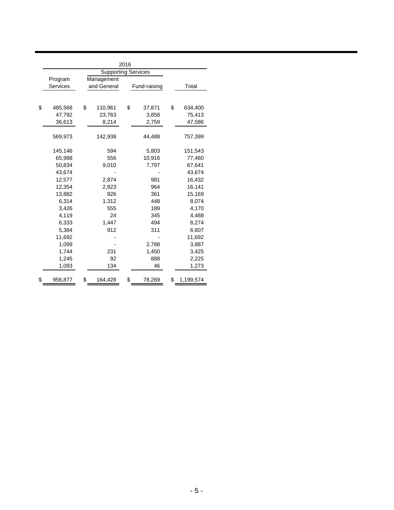| 2016          |    |                     |    |              |    |           |  |  |
|---------------|----|---------------------|----|--------------|----|-----------|--|--|
|               |    | Supporting Services |    |              |    |           |  |  |
| Program       |    | Management          |    |              |    |           |  |  |
| Services      |    | and General         |    | Fund-raising |    | Total     |  |  |
|               |    |                     |    |              |    |           |  |  |
| \$<br>485,568 | \$ | 110,961             | \$ | 37,871       | \$ | 634,400   |  |  |
| 47,792        |    | 23,763              |    | 3,858        |    | 75,413    |  |  |
| 36,613        |    | 8,214               |    | 2,759        |    | 47,586    |  |  |
|               |    |                     |    |              |    |           |  |  |
| 569,973       |    | 142,938             |    | 44,488       |    | 757,399   |  |  |
| 145,146       |    | 594                 |    | 5,803        |    | 151,543   |  |  |
| 65,988        |    | 556                 |    | 10,916       |    | 77,460    |  |  |
| 50,834        |    | 9,010               |    | 7,797        |    | 67,641    |  |  |
| 43,674        |    |                     |    |              |    | 43,674    |  |  |
| 12,577        |    | 2,874               |    | 981          |    | 16,432    |  |  |
| 12,354        |    | 2,823               |    | 964          |    | 16,141    |  |  |
| 13,882        |    | 926                 |    | 361          |    | 15,169    |  |  |
| 6,314         |    | 1,312               |    | 448          |    | 8,074     |  |  |
| 3,426         |    | 555                 |    | 189          |    | 4,170     |  |  |
| 4,119         |    | 24                  |    | 345          |    | 4,488     |  |  |
| 6,333         |    | 1,447               |    | 494          |    | 8,274     |  |  |
| 5,384         |    | 912                 |    | 311          |    | 6,607     |  |  |
| 11,692        |    |                     |    |              |    | 11,692    |  |  |
| 1,099         |    |                     |    | 2,788        |    | 3,887     |  |  |
| 1,744         |    | 231                 |    | 1,450        |    | 3,425     |  |  |
| 1,245         |    | 92                  |    | 888          |    | 2,225     |  |  |
| 1,093         |    | 134                 |    | 46           |    | 1,273     |  |  |
| \$<br>956,877 | \$ | 164,428             | \$ | 78,269       | \$ | 1,199,574 |  |  |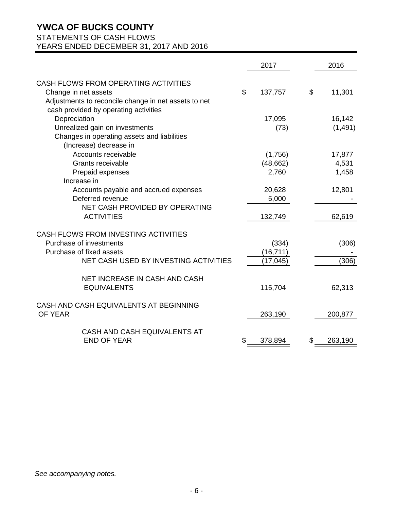### STATEMENTS OF CASH FLOWS

YEARS ENDED DECEMBER 31, 2017 AND 2016

|                                                      | 2017          | 2016          |
|------------------------------------------------------|---------------|---------------|
| CASH FLOWS FROM OPERATING ACTIVITIES                 |               |               |
|                                                      |               |               |
| Change in net assets                                 | \$<br>137,757 | \$<br>11,301  |
| Adjustments to reconcile change in net assets to net |               |               |
| cash provided by operating activities                |               |               |
| Depreciation                                         | 17,095        | 16,142        |
| Unrealized gain on investments                       | (73)          | (1, 491)      |
| Changes in operating assets and liabilities          |               |               |
| (Increase) decrease in                               |               |               |
| Accounts receivable                                  | (1,756)       | 17,877        |
| Grants receivable                                    | (48, 662)     | 4,531         |
| Prepaid expenses                                     | 2,760         | 1,458         |
| Increase in                                          |               |               |
| Accounts payable and accrued expenses                | 20,628        | 12,801        |
| Deferred revenue                                     | 5,000         |               |
| NET CASH PROVIDED BY OPERATING                       |               |               |
| <b>ACTIVITIES</b>                                    | 132,749       | 62,619        |
| CASH FLOWS FROM INVESTING ACTIVITIES                 |               |               |
| Purchase of investments                              | (334)         | (306)         |
| Purchase of fixed assets                             | (16, 711)     |               |
| NET CASH USED BY INVESTING ACTIVITIES                | (17,045)      | (306)         |
|                                                      |               |               |
| NET INCREASE IN CASH AND CASH                        |               |               |
| <b>EQUIVALENTS</b>                                   | 115,704       | 62,313        |
|                                                      |               |               |
| CASH AND CASH EQUIVALENTS AT BEGINNING               |               |               |
| OF YEAR                                              | 263,190       | 200,877       |
|                                                      |               |               |
| CASH AND CASH EQUIVALENTS AT                         |               |               |
| <b>END OF YEAR</b>                                   | \$<br>378,894 | \$<br>263,190 |

*See accompanying notes.*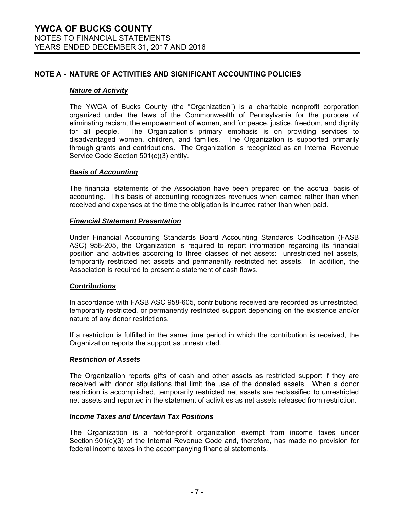#### **NOTE A - NATURE OF ACTIVITIES AND SIGNIFICANT ACCOUNTING POLICIES**

#### *Nature of Activity*

The YWCA of Bucks County (the "Organization") is a charitable nonprofit corporation organized under the laws of the Commonwealth of Pennsylvania for the purpose of eliminating racism, the empowerment of women, and for peace, justice, freedom, and dignity for all people. The Organization's primary emphasis is on providing services to disadvantaged women, children, and families. The Organization is supported primarily through grants and contributions. The Organization is recognized as an Internal Revenue Service Code Section 501(c)(3) entity.

#### *Basis of Accounting*

The financial statements of the Association have been prepared on the accrual basis of accounting. This basis of accounting recognizes revenues when earned rather than when received and expenses at the time the obligation is incurred rather than when paid.

#### *Financial Statement Presentation*

Under Financial Accounting Standards Board Accounting Standards Codification (FASB ASC) 958-205, the Organization is required to report information regarding its financial position and activities according to three classes of net assets: unrestricted net assets, temporarily restricted net assets and permanently restricted net assets. In addition, the Association is required to present a statement of cash flows.

#### *Contributions*

In accordance with FASB ASC 958-605, contributions received are recorded as unrestricted, temporarily restricted, or permanently restricted support depending on the existence and/or nature of any donor restrictions.

If a restriction is fulfilled in the same time period in which the contribution is received, the Organization reports the support as unrestricted.

#### *Restriction of Assets*

The Organization reports gifts of cash and other assets as restricted support if they are received with donor stipulations that limit the use of the donated assets. When a donor restriction is accomplished, temporarily restricted net assets are reclassified to unrestricted net assets and reported in the statement of activities as net assets released from restriction.

#### *Income Taxes and Uncertain Tax Positions*

The Organization is a not-for-profit organization exempt from income taxes under Section 501(c)(3) of the Internal Revenue Code and, therefore, has made no provision for federal income taxes in the accompanying financial statements.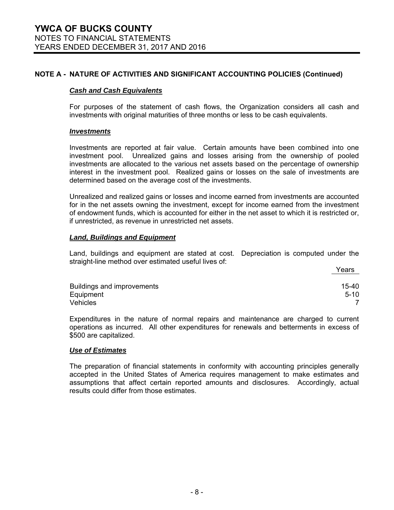#### **NOTE A - NATURE OF ACTIVITIES AND SIGNIFICANT ACCOUNTING POLICIES (Continued)**

#### *Cash and Cash Equivalents*

For purposes of the statement of cash flows, the Organization considers all cash and investments with original maturities of three months or less to be cash equivalents.

#### *Investments*

Investments are reported at fair value. Certain amounts have been combined into one investment pool. Unrealized gains and losses arising from the ownership of pooled investments are allocated to the various net assets based on the percentage of ownership interest in the investment pool. Realized gains or losses on the sale of investments are determined based on the average cost of the investments.

Unrealized and realized gains or losses and income earned from investments are accounted for in the net assets owning the investment, except for income earned from the investment of endowment funds, which is accounted for either in the net asset to which it is restricted or, if unrestricted, as revenue in unrestricted net assets.

#### *Land, Buildings and Equipment*

Land, buildings and equipment are stated at cost. Depreciation is computed under the straight-line method over estimated useful lives of:

**Example 2018** Search Contract Contract Contract Contract Contract Contract Contract Contract Contract Contract Contract Contract Contract Contract Contract Contract Contract Contract Contract Contract Contract Contract Co

| Buildings and improvements | 15-40    |
|----------------------------|----------|
| Equipment                  | $5 - 10$ |
| <b>Vehicles</b>            |          |

Expenditures in the nature of normal repairs and maintenance are charged to current operations as incurred. All other expenditures for renewals and betterments in excess of \$500 are capitalized.

#### *Use of Estimates*

The preparation of financial statements in conformity with accounting principles generally accepted in the United States of America requires management to make estimates and assumptions that affect certain reported amounts and disclosures. Accordingly, actual results could differ from those estimates.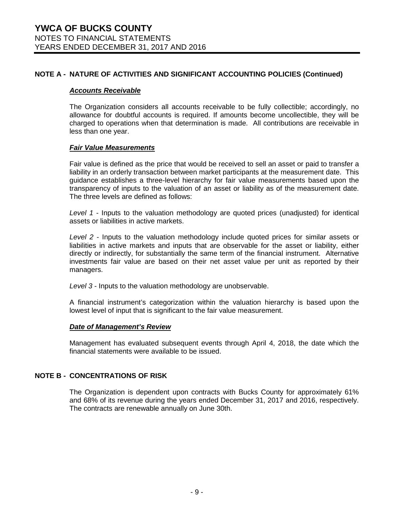#### **NOTE A - NATURE OF ACTIVITIES AND SIGNIFICANT ACCOUNTING POLICIES (Continued)**

#### *Accounts Receivable*

The Organization considers all accounts receivable to be fully collectible; accordingly, no allowance for doubtful accounts is required. If amounts become uncollectible, they will be charged to operations when that determination is made. All contributions are receivable in less than one year.

#### *Fair Value Measurements*

Fair value is defined as the price that would be received to sell an asset or paid to transfer a liability in an orderly transaction between market participants at the measurement date. This guidance establishes a three-level hierarchy for fair value measurements based upon the transparency of inputs to the valuation of an asset or liability as of the measurement date. The three levels are defined as follows:

*Level 1* - Inputs to the valuation methodology are quoted prices (unadjusted) for identical assets or liabilities in active markets.

*Level 2* - Inputs to the valuation methodology include quoted prices for similar assets or liabilities in active markets and inputs that are observable for the asset or liability, either directly or indirectly, for substantially the same term of the financial instrument. Alternative investments fair value are based on their net asset value per unit as reported by their managers.

*Level 3* - Inputs to the valuation methodology are unobservable.

A financial instrument's categorization within the valuation hierarchy is based upon the lowest level of input that is significant to the fair value measurement.

#### *Date of Management's Review*

Management has evaluated subsequent events through April 4, 2018, the date which the financial statements were available to be issued.

#### **NOTE B - CONCENTRATIONS OF RISK**

The Organization is dependent upon contracts with Bucks County for approximately 61% and 68% of its revenue during the years ended December 31, 2017 and 2016, respectively. The contracts are renewable annually on June 30th.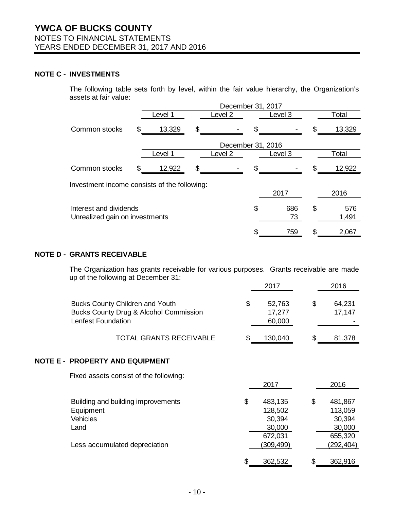#### **NOTE C - INVESTMENTS**

The following table sets forth by level, within the fair value hierarchy, the Organization's assets at fair value:

|                                                          |     | December 31, 2017 |    |                    |     |           |    |              |
|----------------------------------------------------------|-----|-------------------|----|--------------------|-----|-----------|----|--------------|
|                                                          |     | Level 1           |    | Level 2            |     | Level 3   |    | Total        |
| Common stocks                                            | \$. | 13,329            | \$ |                    | \$  |           |    | 13,329       |
|                                                          |     |                   |    | December 31, 2016  |     |           |    |              |
|                                                          |     | Level 1           |    | Level <sub>2</sub> |     | Level 3   |    | Total        |
| Common stocks                                            |     | 12,922            | \$ |                    | \$. |           |    | 12,922       |
| Investment income consists of the following:             |     |                   |    |                    |     |           |    |              |
|                                                          |     |                   |    |                    |     | 2017      |    | 2016         |
| Interest and dividends<br>Unrealized gain on investments |     |                   |    |                    | \$  | 686<br>73 | \$ | 576<br>1,491 |
|                                                          |     |                   |    |                    | S   | 759       | S  | 2,067        |

#### **NOTE D - GRANTS RECEIVABLE**

**NOTE E** 

The Organization has grants receivable for various purposes. Grants receivable are made up of the following at December 31:

|                                                                                                               | 2017                             |    | 2016             |
|---------------------------------------------------------------------------------------------------------------|----------------------------------|----|------------------|
| <b>Bucks County Children and Youth</b><br>Bucks County Drug & Alcohol Commission<br><b>Lenfest Foundation</b> | \$<br>52,763<br>17,277<br>60,000 | \$ | 64,231<br>17,147 |
| <b>TOTAL GRANTS RECEIVABLE</b>                                                                                | \$<br>130,040                    | \$ | 81,378           |
| - PROPERTY AND EQUIPMENT                                                                                      |                                  |    |                  |
| Fixed assets consist of the following:                                                                        |                                  |    |                  |
|                                                                                                               | 2017                             |    | 2016             |
| Building and building improvements                                                                            | \$<br>483,135                    | \$ | 481,867          |
| Equipment                                                                                                     | 128,502                          |    | 113,059          |
| <b>Vehicles</b>                                                                                               | 30,394                           |    | 30,394           |
| Land                                                                                                          | 30,000                           |    | 30,000           |
|                                                                                                               | 672,031                          |    | 655,320          |
| Less accumulated depreciation                                                                                 | (309,499)                        |    | (292,404)        |
|                                                                                                               | \$<br>362,532                    | S  | 362,916          |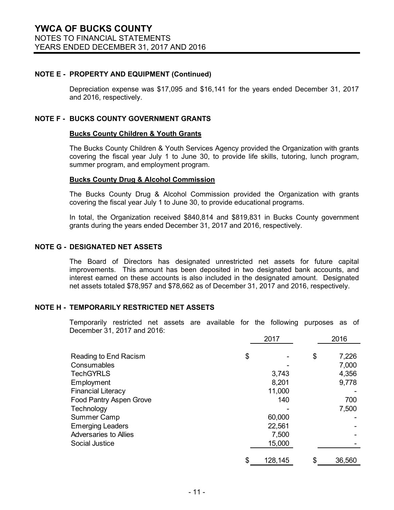#### **NOTE E - PROPERTY AND EQUIPMENT (Continued)**

Depreciation expense was \$17,095 and \$16,141 for the years ended December 31, 2017 and 2016, respectively.

#### **NOTE F - BUCKS COUNTY GOVERNMENT GRANTS**

#### **Bucks County Children & Youth Grants**

The Bucks County Children & Youth Services Agency provided the Organization with grants covering the fiscal year July 1 to June 30, to provide life skills, tutoring, lunch program, summer program, and employment program.

#### **Bucks County Drug & Alcohol Commission**

The Bucks County Drug & Alcohol Commission provided the Organization with grants covering the fiscal year July 1 to June 30, to provide educational programs.

In total, the Organization received \$840,814 and \$819,831 in Bucks County government grants during the years ended December 31, 2017 and 2016, respectively.

#### **NOTE G - DESIGNATED NET ASSETS**

The Board of Directors has designated unrestricted net assets for future capital improvements. This amount has been deposited in two designated bank accounts, and interest earned on these accounts is also included in the designated amount. Designated net assets totaled \$78,957 and \$78,662 as of December 31, 2017 and 2016, respectively.

#### **NOTE H - TEMPORARILY RESTRICTED NET ASSETS**

Temporarily restricted net assets are available for the following purposes as of December 31, 2017 and 2016:

|                              | 2017          | 2016         |
|------------------------------|---------------|--------------|
|                              |               |              |
| Reading to End Racism        | \$            | \$<br>7,226  |
| Consumables                  |               | 7,000        |
| <b>TechGYRLS</b>             | 3,743         | 4,356        |
| Employment                   | 8,201         | 9,778        |
| <b>Financial Literacy</b>    | 11,000        |              |
| Food Pantry Aspen Grove      | 140           | 700          |
| Technology                   |               | 7,500        |
| Summer Camp                  | 60,000        |              |
| <b>Emerging Leaders</b>      | 22,561        |              |
| <b>Adversaries to Allies</b> | 7,500         |              |
| Social Justice               | 15,000        |              |
|                              | \$<br>128,145 | \$<br>36,560 |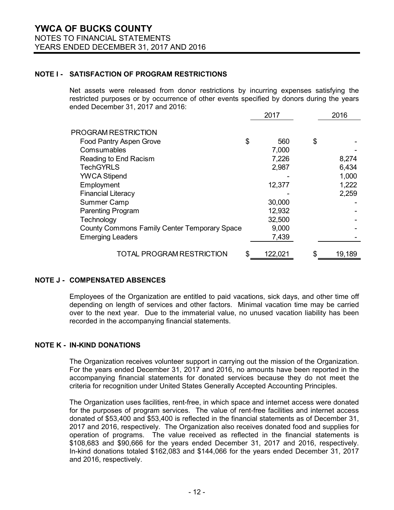#### **NOTE I - SATISFACTION OF PROGRAM RESTRICTIONS**

Net assets were released from donor restrictions by incurring expenses satisfying the restricted purposes or by occurrence of other events specified by donors during the years ended December 31, 2017 and 2016:

|                                                     | 2017          | 2016         |
|-----------------------------------------------------|---------------|--------------|
| PROGRAM RESTRICTION                                 |               |              |
| Food Pantry Aspen Grove                             | \$<br>560     | \$           |
| Comsumables                                         | 7,000         |              |
| Reading to End Racism                               | 7,226         | 8,274        |
| <b>TechGYRLS</b>                                    | 2,987         | 6,434        |
| <b>YWCA Stipend</b>                                 |               | 1,000        |
| Employment                                          | 12,377        | 1,222        |
| <b>Financial Literacy</b>                           |               | 2,259        |
| <b>Summer Camp</b>                                  | 30,000        |              |
| <b>Parenting Program</b>                            | 12,932        |              |
| Technology                                          | 32,500        |              |
| <b>County Commons Family Center Temporary Space</b> | 9,000         |              |
| <b>Emerging Leaders</b>                             | 7,439         |              |
| <b>TOTAL PROGRAM RESTRICTION</b>                    | \$<br>122,021 | \$<br>19,189 |

#### **NOTE J - COMPENSATED ABSENCES**

Employees of the Organization are entitled to paid vacations, sick days, and other time off depending on length of services and other factors. Minimal vacation time may be carried over to the next year. Due to the immaterial value, no unused vacation liability has been recorded in the accompanying financial statements.

#### **NOTE K - IN-KIND DONATIONS**

The Organization receives volunteer support in carrying out the mission of the Organization. For the years ended December 31, 2017 and 2016, no amounts have been reported in the accompanying financial statements for donated services because they do not meet the criteria for recognition under United States Generally Accepted Accounting Principles.

The Organization uses facilities, rent-free, in which space and internet access were donated for the purposes of program services. The value of rent-free facilities and internet access donated of \$53,400 and \$53,400 is reflected in the financial statements as of December 31, 2017 and 2016, respectively. The Organization also receives donated food and supplies for operation of programs. The value received as reflected in the financial statements is \$108,683 and \$90,666 for the years ended December 31, 2017 and 2016, respectively. In-kind donations totaled \$162,083 and \$144,066 for the years ended December 31, 2017 and 2016, respectively.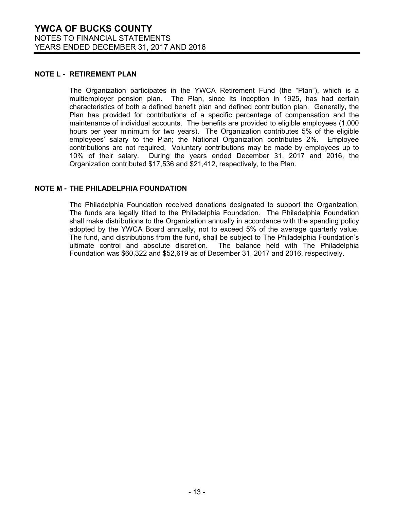#### **NOTE L - RETIREMENT PLAN**

The Organization participates in the YWCA Retirement Fund (the "Plan"), which is a multiemployer pension plan. The Plan, since its inception in 1925, has had certain characteristics of both a defined benefit plan and defined contribution plan. Generally, the Plan has provided for contributions of a specific percentage of compensation and the maintenance of individual accounts. The benefits are provided to eligible employees (1,000 hours per year minimum for two years). The Organization contributes 5% of the eligible employees' salary to the Plan; the National Organization contributes 2%. Employee contributions are not required. Voluntary contributions may be made by employees up to 10% of their salary. During the years ended December 31, 2017 and 2016, the Organization contributed \$17,536 and \$21,412, respectively, to the Plan.

#### **NOTE M - THE PHILADELPHIA FOUNDATION**

The Philadelphia Foundation received donations designated to support the Organization. The funds are legally titled to the Philadelphia Foundation. The Philadelphia Foundation shall make distributions to the Organization annually in accordance with the spending policy adopted by the YWCA Board annually, not to exceed 5% of the average quarterly value. The fund, and distributions from the fund, shall be subject to The Philadelphia Foundation's ultimate control and absolute discretion. The balance held with The Philadelphia Foundation was \$60,322 and \$52,619 as of December 31, 2017 and 2016, respectively.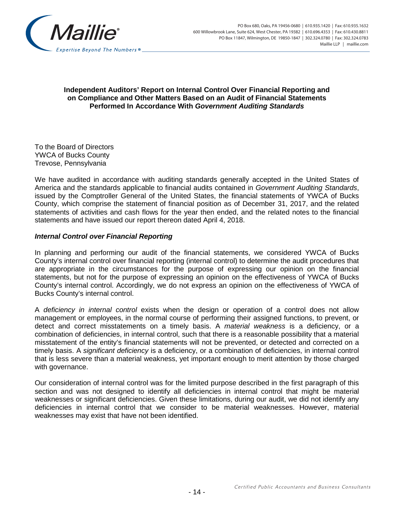

#### **Independent Auditors' Report on Internal Control Over Financial Reporting and on Compliance and Other Matters Based on an Audit of Financial Statements Performed In Accordance With** *Government Auditing Standards*

To the Board of Directors YWCA of Bucks County Trevose, Pennsylvania

We have audited in accordance with auditing standards generally accepted in the United States of America and the standards applicable to financial audits contained in *Government Auditing Standards*, issued by the Comptroller General of the United States, the financial statements of YWCA of Bucks County, which comprise the statement of financial position as of December 31, 2017, and the related statements of activities and cash flows for the year then ended, and the related notes to the financial statements and have issued our report thereon dated April 4, 2018.

#### *Internal Control over Financial Reporting*

In planning and performing our audit of the financial statements, we considered YWCA of Bucks County's internal control over financial reporting (internal control) to determine the audit procedures that are appropriate in the circumstances for the purpose of expressing our opinion on the financial statements, but not for the purpose of expressing an opinion on the effectiveness of YWCA of Bucks County's internal control. Accordingly, we do not express an opinion on the effectiveness of YWCA of Bucks County's internal control.

A *deficiency in internal control* exists when the design or operation of a control does not allow management or employees, in the normal course of performing their assigned functions, to prevent, or detect and correct misstatements on a timely basis. A *material weakness* is a deficiency, or a combination of deficiencies, in internal control, such that there is a reasonable possibility that a material misstatement of the entity's financial statements will not be prevented, or detected and corrected on a timely basis. A *significant deficiency* is a deficiency, or a combination of deficiencies, in internal control that is less severe than a material weakness, yet important enough to merit attention by those charged with governance.

Our consideration of internal control was for the limited purpose described in the first paragraph of this section and was not designed to identify all deficiencies in internal control that might be material weaknesses or significant deficiencies. Given these limitations, during our audit, we did not identify any deficiencies in internal control that we consider to be material weaknesses. However, material weaknesses may exist that have not been identified.